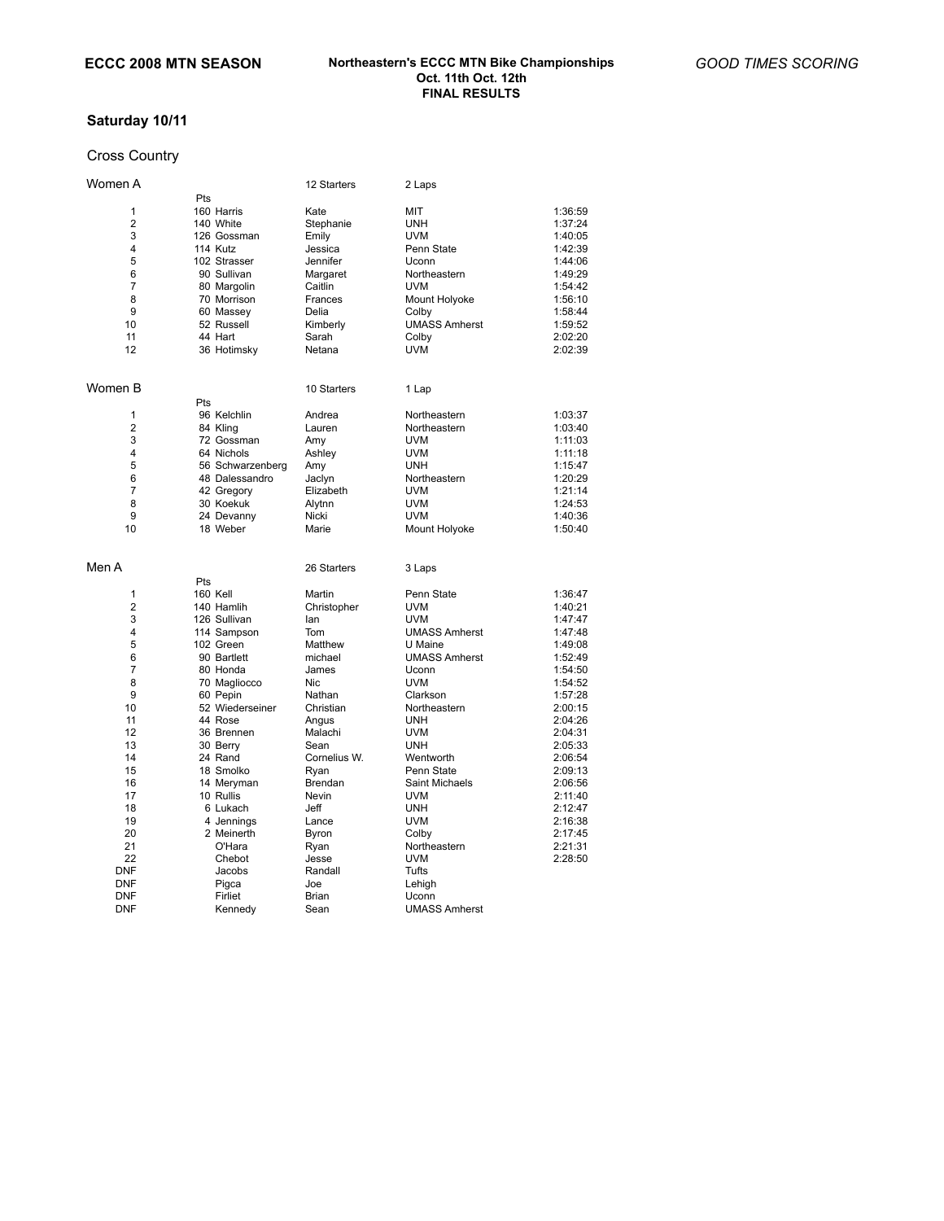# **Saturday 10/11**

## Cross Country

| Women A        |                  | 12 Starters  | 2 Laps               |         |
|----------------|------------------|--------------|----------------------|---------|
|                | Pts              |              |                      |         |
| 1              | 160 Harris       | Kate         | MIT                  | 1:36:59 |
| 2              | 140 White        | Stephanie    | UNH                  | 1:37:24 |
| 3              | 126 Gossman      | Emily        | <b>UVM</b>           | 1:40:05 |
| 4              | 114 Kutz         | Jessica      | Penn State           | 1:42:39 |
| 5              | 102 Strasser     | Jennifer     | Uconn                | 1:44:06 |
| 6              | 90 Sullivan      | Margaret     | Northeastern         | 1:49:29 |
| $\overline{7}$ | 80 Margolin      | Caitlin      | UVM                  | 1:54:42 |
| 8              | 70 Morrison      | Frances      | Mount Holyoke        | 1:56:10 |
| 9              | 60 Massey        | Delia        | Colby                | 1:58:44 |
| 10             | 52 Russell       | Kimberly     | <b>UMASS Amherst</b> | 1:59:52 |
| 11             | 44 Hart          | Sarah        | Colby                | 2:02:20 |
| 12             |                  | Netana       | <b>UVM</b>           | 2:02:39 |
|                | 36 Hotimsky      |              |                      |         |
| Women B        |                  | 10 Starters  | 1 Lap                |         |
|                | Pts              |              |                      |         |
| 1              | 96 Kelchlin      | Andrea       | Northeastern         | 1:03:37 |
| 2              | 84 Kling         | Lauren       | Northeastern         | 1:03:40 |
| 3              | 72 Gossman       | Amy          | <b>UVM</b>           | 1:11:03 |
| 4              | 64 Nichols       | Ashley       | <b>UVM</b>           | 1:11:18 |
| 5              | 56 Schwarzenberg | Amy          | <b>UNH</b>           | 1:15:47 |
| 6              | 48 Dalessandro   | Jaclyn       | Northeastern         | 1:20:29 |
| 7              | 42 Gregory       | Elizabeth    | <b>UVM</b>           | 1:21:14 |
| 8              | 30 Koekuk        | Alytnn       | <b>UVM</b>           | 1:24:53 |
| 9              | 24 Devanny       | Nicki        | <b>UVM</b>           | 1:40:36 |
| 10             | 18 Weber         | Marie        | Mount Holyoke        | 1:50:40 |
|                |                  |              |                      |         |
| Men A          |                  | 26 Starters  | 3 Laps               |         |
|                | Pts              |              |                      |         |
| 1              | 160 Kell         | Martin       | Penn State           | 1:36:47 |
| 2              | 140 Hamlih       | Christopher  | <b>UVM</b>           | 1:40:21 |
| 3              | 126 Sullivan     | lan          | <b>UVM</b>           | 1:47:47 |
| 4              | 114 Sampson      | Tom          | <b>UMASS Amherst</b> | 1:47:48 |
| 5              | 102 Green        | Matthew      | U Maine              | 1:49:08 |
| 6              | 90 Bartlett      | michael      | <b>UMASS Amherst</b> | 1:52:49 |
| $\overline{7}$ | 80 Honda         | James        | Uconn                | 1:54:50 |
| 8              | 70 Magliocco     | <b>Nic</b>   | <b>UVM</b>           | 1:54:52 |
| 9              | 60 Pepin         | Nathan       | Clarkson             | 1:57:28 |
| 10             | 52 Wiederseiner  | Christian    | Northeastern         | 2:00:15 |
| 11             | 44 Rose          | Angus        | <b>UNH</b>           | 2:04:26 |
| 12             | 36 Brennen       | Malachi      | <b>UVM</b>           | 2:04:31 |
| 13             | 30 Berry         | Sean         | <b>UNH</b>           | 2:05:33 |
| 14             | 24 Rand          | Cornelius W. | Wentworth            | 2:06:54 |
| 15             | 18 Smolko        | Ryan         | Penn State           | 2:09:13 |
| 16             | 14 Meryman       | Brendan      | Saint Michaels       | 2:06:56 |
| 17             | 10 Rullis        | Nevin        | <b>UVM</b>           | 2:11:40 |
| 18             | 6 Lukach         | Jeff         | <b>UNH</b>           | 2:12:47 |
| 19             | 4 Jennings       | Lance        | <b>UVM</b>           | 2:16:38 |
| 20             | 2 Meinerth       | Byron        | Colby                | 2:17:45 |
| 21             | O'Hara           | Ryan         | Northeastern         | 2:21:31 |
| 22             | Chebot           | Jesse        | <b>UVM</b>           | 2:28:50 |
| DNF            | Jacobs           | Randall      | Tufts                |         |
| DNF            | Pigca            | Joe          | Lehigh               |         |
| <b>DNF</b>     | Firliet          | Brian        | Uconn                |         |
| <b>DNF</b>     | Kennedy          | Sean         | <b>UMASS Amherst</b> |         |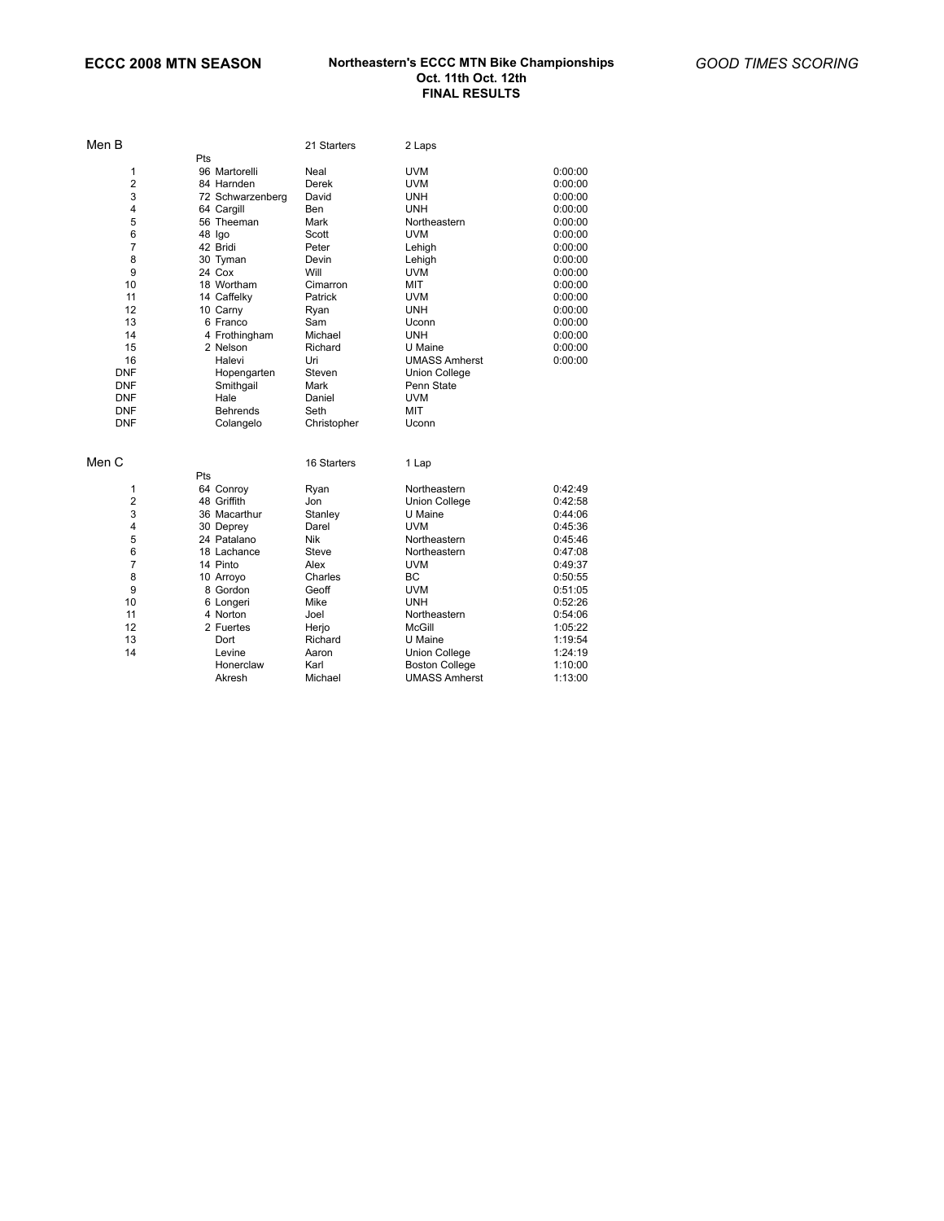| Men B                   |                  | 21 Starters | 2 Laps                |         |
|-------------------------|------------------|-------------|-----------------------|---------|
|                         | Pts              |             |                       |         |
| 1                       | 96 Martorelli    | Neal        | <b>UVM</b>            | 0:00:00 |
| $\overline{2}$          | 84 Harnden       | Derek       | <b>UVM</b>            | 0:00:00 |
| 3                       | 72 Schwarzenberg | David       | <b>UNH</b>            | 0:00:00 |
| 4                       | 64 Cargill       | Ben         | <b>UNH</b>            | 0:00:00 |
| 5                       | 56 Theeman       | Mark        | Northeastern          | 0:00:00 |
| 6                       | 48 Igo           | Scott       | <b>UVM</b>            | 0:00:00 |
| $\overline{7}$          | 42 Bridi         | Peter       | Lehigh                | 0:00:00 |
| 8                       | 30 Tyman         | Devin       | Lehigh                | 0:00:00 |
| 9                       | 24 Cox           | Will        | <b>UVM</b>            | 0:00:00 |
| 10                      | 18 Wortham       | Cimarron    | MIT                   | 0:00:00 |
| 11                      | 14 Caffelky      | Patrick     | <b>UVM</b>            | 0:00:00 |
| 12                      | 10 Carny         | Ryan        | UNH                   | 0:00:00 |
| 13                      | 6 Franco         | Sam         | Uconn                 | 0:00:00 |
| 14                      | 4 Frothingham    | Michael     | <b>UNH</b>            | 0:00:00 |
| 15                      | 2 Nelson         | Richard     | U Maine               | 0:00:00 |
| 16                      | Halevi           | Uri         | <b>UMASS Amherst</b>  | 0:00:00 |
| <b>DNF</b>              | Hopengarten      | Steven      | <b>Union College</b>  |         |
| <b>DNF</b>              | Smithgail        | Mark        | Penn State            |         |
| <b>DNF</b>              | Hale             | Daniel      | <b>UVM</b>            |         |
| <b>DNF</b>              | <b>Behrends</b>  | Seth        | MIT                   |         |
| <b>DNF</b>              | Colangelo        | Christopher | Uconn                 |         |
|                         |                  |             |                       |         |
| Men C                   |                  | 16 Starters | 1 Lap                 |         |
|                         | Pts              |             |                       |         |
| 1                       | 64 Conroy        | Ryan        | Northeastern          | 0:42:49 |
| 2                       | 48 Griffith      | Jon         | <b>Union College</b>  | 0:42:58 |
| 3                       | 36 Macarthur     | Stanley     | U Maine               | 0:44:06 |
| $\overline{\mathbf{4}}$ | 30 Deprey        | Darel       | <b>UVM</b>            | 0:45:36 |
| 5                       | 24 Patalano      | Nik         | Northeastern          | 0:45:46 |
| 6                       | 18 Lachance      | Steve       | Northeastern          | 0:47:08 |
| $\overline{7}$          | 14 Pinto         | Alex        | <b>UVM</b>            | 0:49:37 |
| 8                       | 10 Arroyo        | Charles     | <b>BC</b>             | 0:50:55 |
| 9                       | 8 Gordon         | Geoff       | <b>UVM</b>            | 0:51:05 |
| 10                      | 6 Longeri        | Mike        | <b>UNH</b>            | 0:52:26 |
| 11                      | 4 Norton         | Joel        | Northeastern          | 0:54:06 |
| 12                      | 2 Fuertes        | Herjo       | <b>McGill</b>         | 1:05:22 |
| 13                      | Dort             | Richard     | U Maine               | 1:19:54 |
| 14                      | Levine           | Aaron       | <b>Union College</b>  | 1:24:19 |
|                         | Honerclaw        | Karl        | <b>Boston College</b> | 1:10:00 |
|                         | Akresh           | Michael     | <b>UMASS Amherst</b>  | 1:13:00 |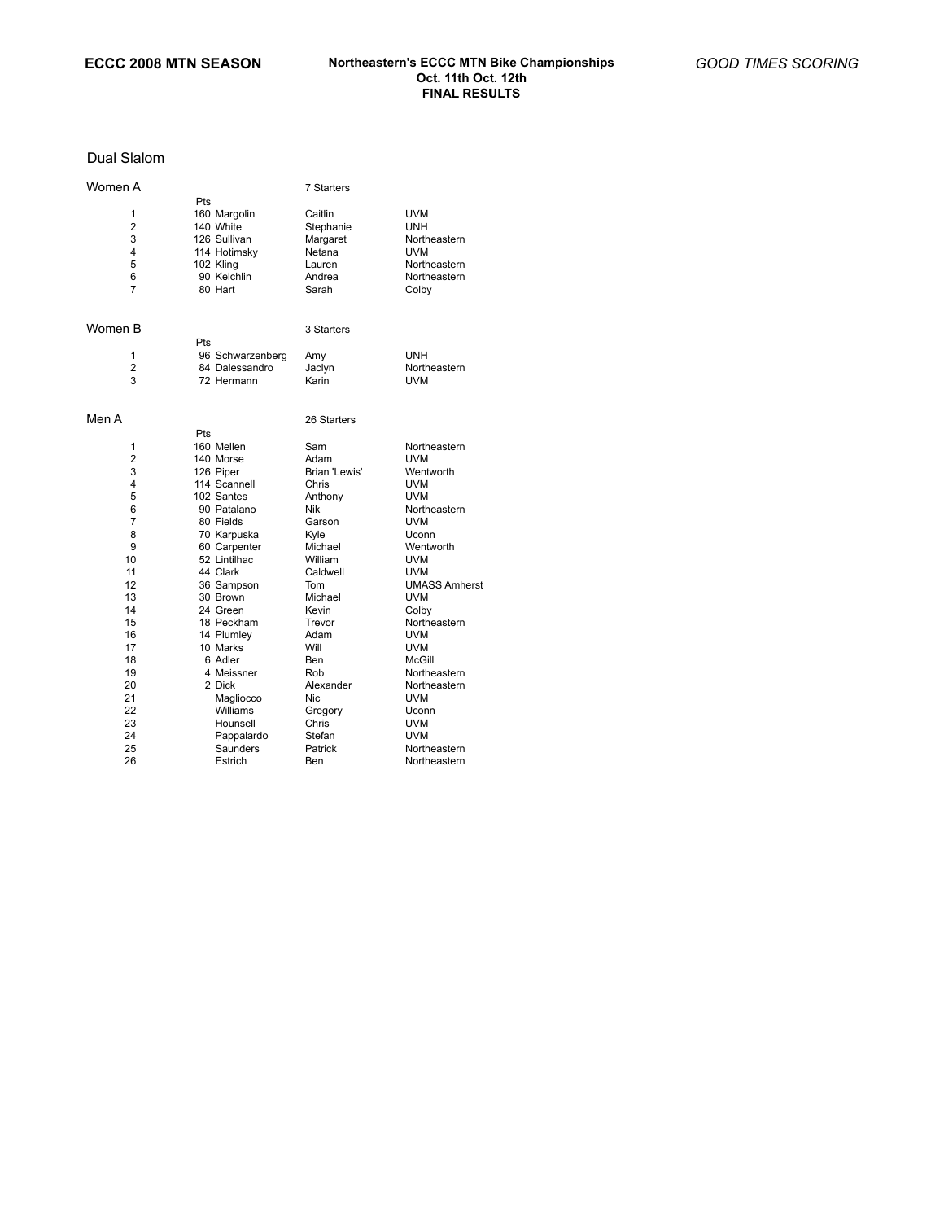### Dual Slalom

| Women A        |                        | 7 Starters       |                      |
|----------------|------------------------|------------------|----------------------|
|                | Pts                    |                  |                      |
| 1              | 160 Margolin           | Caitlin          | UVM                  |
| $\overline{2}$ | 140 White              | Stephanie        | <b>UNH</b>           |
| 3              | 126 Sullivan           | Margaret         | Northeastern         |
| 4              | 114 Hotimsky           | Netana           | UVM                  |
| 5              | 102 Kling              | Lauren           | Northeastern         |
| 6              | 90 Kelchlin            | Andrea           | Northeastern         |
| $\overline{7}$ | 80 Hart                | Sarah            | Colby                |
|                |                        |                  |                      |
| Women B        |                        | 3 Starters       |                      |
|                | Pts                    |                  |                      |
| 1              | 96 Schwarzenberg       | Amy              | <b>UNH</b>           |
| $\overline{2}$ | 84 Dalessandro         | Jaclyn           | Northeastern         |
| 3              | 72 Hermann             | Karin            | <b>UVM</b>           |
| Men A          |                        | 26 Starters      |                      |
|                | Pts                    |                  |                      |
| 1              | 160 Mellen             | Sam              | Northeastern         |
| 2              | 140 Morse              | Adam             | <b>UVM</b>           |
| 3              | 126 Piper              | Brian 'Lewis'    | Wentworth            |
| 4              | 114 Scannell           | Chris            | <b>UVM</b>           |
| 5              | 102 Santes             | Anthony          | <b>UVM</b>           |
| 6              | 90 Patalano            | Nik              | Northeastern         |
| 7              | 80 Fields              | Garson           | <b>UVM</b>           |
| 8              | 70 Karpuska            | Kyle             | Uconn                |
| 9              | 60 Carpenter           | Michael          | Wentworth            |
| 10             | 52 Lintilhac           | William          | <b>UVM</b>           |
| 11             | 44 Clark               | Caldwell         | <b>UVM</b>           |
| 12             | 36 Sampson             | Tom              | <b>UMASS Amherst</b> |
| 13             | 30 Brown               | Michael          | UVM                  |
| 14             | 24 Green               | Kevin            | Colby                |
| 15             | 18 Peckham             | Trevor           | Northeastern         |
| 16             | 14 Plumley             | Adam             | <b>UVM</b>           |
| 17             | 10 Marks               | Will             | <b>UVM</b>           |
| 18             | 6 Adler                | Ben              | McGill               |
| 19             | 4 Meissner             | Rob              | Northeastern         |
| 20             | 2 Dick                 | Alexander        | Northeastern         |
| 21             | Magliocco              | Nic              | UVM                  |
| 22             | Williams               |                  | Uconn                |
| 23             | Hounsell               | Gregory<br>Chris | UVM                  |
| 24             |                        | Stefan           | <b>UVM</b>           |
| 25             | Pappalardo<br>Saunders | Patrick          | Northeastern         |
|                |                        |                  |                      |
| 26             | Estrich                | Ben              | Northeastern         |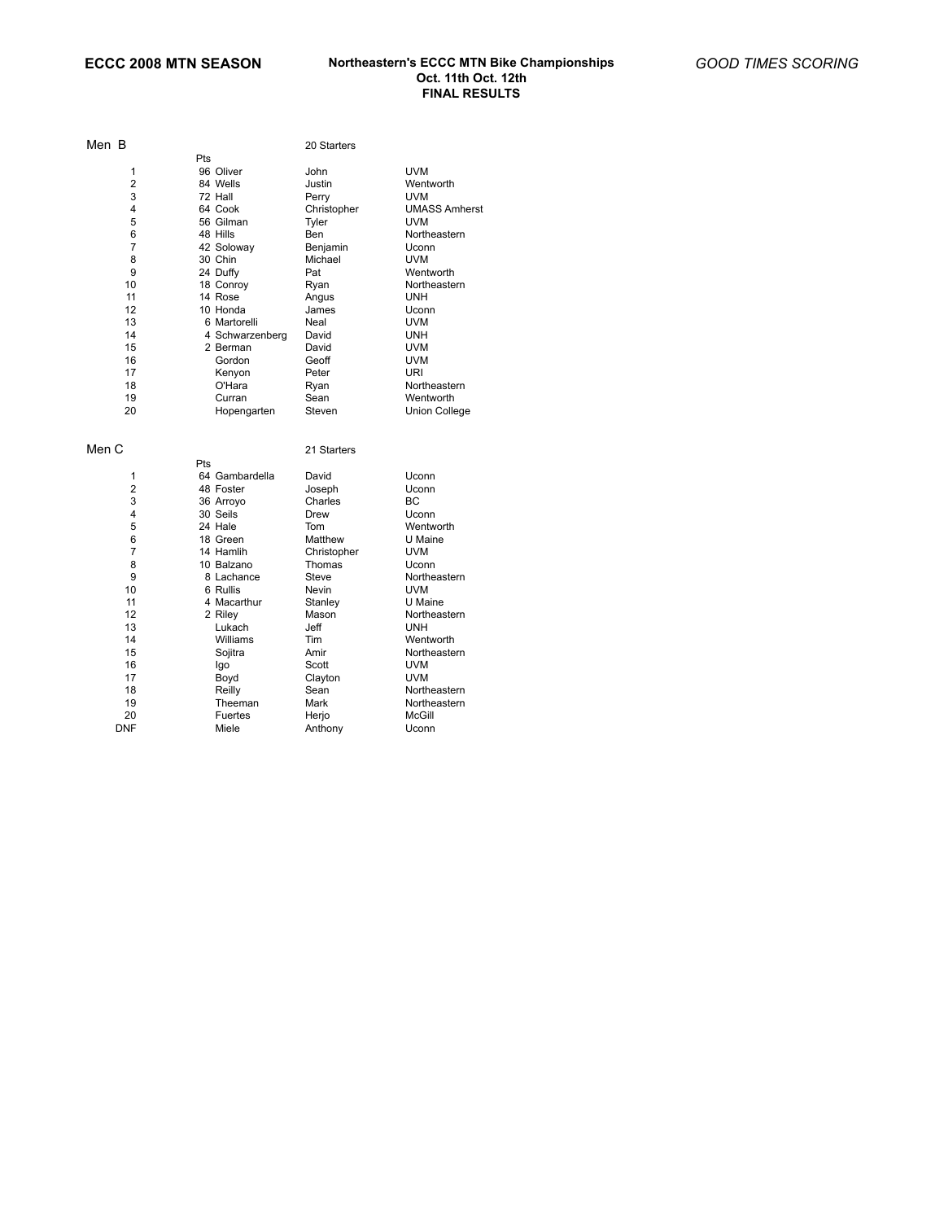| Men B          |                 | 20 Starters |                      |
|----------------|-----------------|-------------|----------------------|
|                | Pts             |             |                      |
| 1              | 96 Oliver       | John        | <b>UVM</b>           |
| $\overline{2}$ | 84 Wells        | Justin      | Wentworth            |
| 3              | 72 Hall         | Perry       | <b>UVM</b>           |
| 4              | 64 Cook         | Christopher | <b>UMASS Amherst</b> |
| 5              | 56 Gilman       | Tyler       | <b>UVM</b>           |
| 6              | 48 Hills        | Ben         | Northeastern         |
| 7              | 42 Soloway      | Benjamin    | Uconn                |
| 8              | 30 Chin         | Michael     | <b>UVM</b>           |
| 9              | 24 Duffy        | Pat         | Wentworth            |
| 10             | 18 Conroy       | Ryan        | Northeastern         |
| 11             | 14 Rose         | Angus       | <b>UNH</b>           |
| 12             | 10 Honda        | James       | Uconn                |
| 13             | 6 Martorelli    | Neal        | UVM                  |
| 14             | 4 Schwarzenberg | David       | <b>UNH</b>           |
| 15             | 2 Berman        | David       | UVM                  |
| 16             | Gordon          | Geoff       | UVM                  |
| 17             | Kenyon          | Peter       | URI                  |
| 18             | O'Hara          | Ryan        | Northeastern         |
| 19             | Curran          | Sean        | Wentworth            |
| 20             | Hopengarten     | Steven      | <b>Union College</b> |
| Men C          |                 | 21 Starters |                      |
|                | Pts             |             |                      |
| 1              | 64 Gambardella  | David       | Uconn                |
| $\overline{2}$ | 48 Foster       | Joseph      | Uconn                |
| 3              | 36 Arroyo       | Charles     | ВC                   |
| 4              | 30 Seils        | Drew        | Uconn                |
| 5              | 24 Hale         | Tom         | Wentworth            |
| 6              | 18 Green        | Matthew     | U Maine              |
| $\overline{7}$ | 14 Hamlih       | Christopher | UVM                  |
| 8              | 10 Balzano      | Thomas      | Uconn                |
| 9              | 8 Lachance      | Steve       | Northeastern         |
| 10             | 6 Rullis        | Nevin       | <b>UVM</b>           |
| 11             | 4 Macarthur     | Stanley     | U Maine              |
| 12             | 2 Riley         | Mason       | Northeastern         |
| 13             | Lukach          | Jeff        | <b>UNH</b>           |
| 14             | Williams        | Tim         | Wentworth            |
| 15             | Sojitra         | Amir        | Northeastern         |
| 16             | Igo             | Scott       | <b>UVM</b>           |
| 17             | Boyd            | Clayton     | <b>UVM</b>           |
| 18             | Reilly          | Sean        | Northeastern         |
| 19             | Theeman         | Mark        | Northeastern         |
| 20             | Fuertes         | Herjo       | McGill               |
| <b>DNF</b>     | Miele           | Anthony     | Uconn                |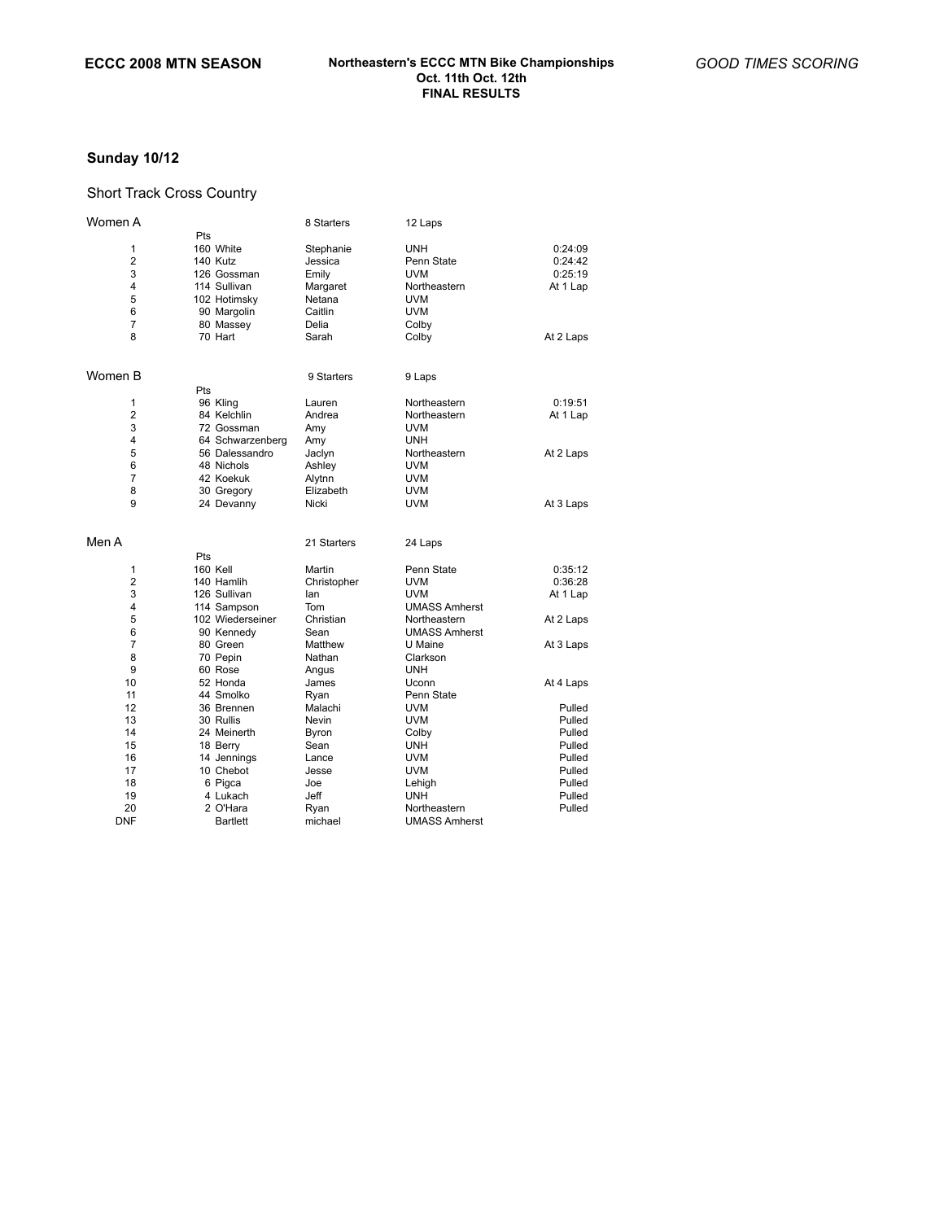## **Sunday 10/12**

### Short Track Cross Country

| Women A        |                  | 8 Starters  | 12 Laps              |           |
|----------------|------------------|-------------|----------------------|-----------|
|                | Pts              |             |                      |           |
| 1              | 160 White        | Stephanie   | <b>UNH</b>           | 0:24:09   |
| $\overline{2}$ | 140 Kutz         | Jessica     | Penn State           | 0:24:42   |
| 3              | 126 Gossman      | Emily       | <b>UVM</b>           | 0:25:19   |
| 4              | 114 Sullivan     | Margaret    | Northeastern         | At 1 Lap  |
| 5              | 102 Hotimsky     | Netana      | <b>UVM</b>           |           |
| 6              | 90 Margolin      | Caitlin     | <b>UVM</b>           |           |
| $\overline{7}$ | 80 Massey        | Delia       | Colby                |           |
| 8              | 70 Hart          | Sarah       | Colby                | At 2 Laps |
| Women B        |                  | 9 Starters  | 9 Laps               |           |
|                | Pts              |             |                      |           |
| 1              | 96 Kling         | Lauren      | Northeastern         | 0:19:51   |
| $\overline{2}$ | 84 Kelchlin      | Andrea      | Northeastern         | At 1 Lap  |
| 3              | 72 Gossman       | Amy         | <b>UVM</b>           |           |
| 4              | 64 Schwarzenberg | Amy         | <b>UNH</b>           |           |
| 5              | 56 Dalessandro   | Jaclyn      | Northeastern         | At 2 Laps |
| 6              | 48 Nichols       | Ashley      | <b>UVM</b>           |           |
| $\overline{7}$ | 42 Koekuk        | Alytnn      | UVM                  |           |
| 8              | 30 Gregory       | Elizabeth   | <b>UVM</b>           |           |
| 9              | 24 Devanny       | Nicki       | UVM                  | At 3 Laps |
| Men A          |                  | 21 Starters | 24 Laps              |           |
|                | Pts              |             |                      |           |
| 1              | 160 Kell         | Martin      | Penn State           | 0:35:12   |
| 2              | 140 Hamlih       | Christopher | <b>UVM</b>           | 0:36:28   |
| 3              | 126 Sullivan     | lan         | UVM                  | At 1 Lap  |
| 4              | 114 Sampson      | Tom         | <b>UMASS Amherst</b> |           |
| 5              | 102 Wiederseiner | Christian   | Northeastern         | At 2 Laps |
| 6              | 90 Kennedy       | Sean        | <b>UMASS Amherst</b> |           |
| $\overline{7}$ | 80 Green         | Matthew     | U Maine              | At 3 Laps |
| 8              | 70 Pepin         | Nathan      | Clarkson             |           |
| 9              | 60 Rose          | Angus       | <b>UNH</b>           |           |
| 10             | 52 Honda         | James       | Uconn                | At 4 Laps |
| 11             | 44 Smolko        | Ryan        | Penn State           |           |
| 12             | 36 Brennen       | Malachi     | <b>UVM</b>           | Pulled    |
| 13             | 30 Rullis        | Nevin       | <b>UVM</b>           | Pulled    |
| 14             | 24 Meinerth      | Byron       | Colby                | Pulled    |
| 15             | 18 Berry         | Sean        | <b>UNH</b>           | Pulled    |
| 16             | 14 Jennings      | Lance       | <b>UVM</b>           | Pulled    |
| 17             | 10 Chebot        | Jesse       | <b>UVM</b>           | Pulled    |
| 18             | 6 Pigca          | Joe         | Lehigh               | Pulled    |
| 19             | 4 Lukach         | Jeff        | UNH                  | Pulled    |
| 20             | 2 O'Hara         | Ryan        | Northeastern         | Pulled    |
| <b>DNF</b>     | <b>Bartlett</b>  | michael     | <b>UMASS Amherst</b> |           |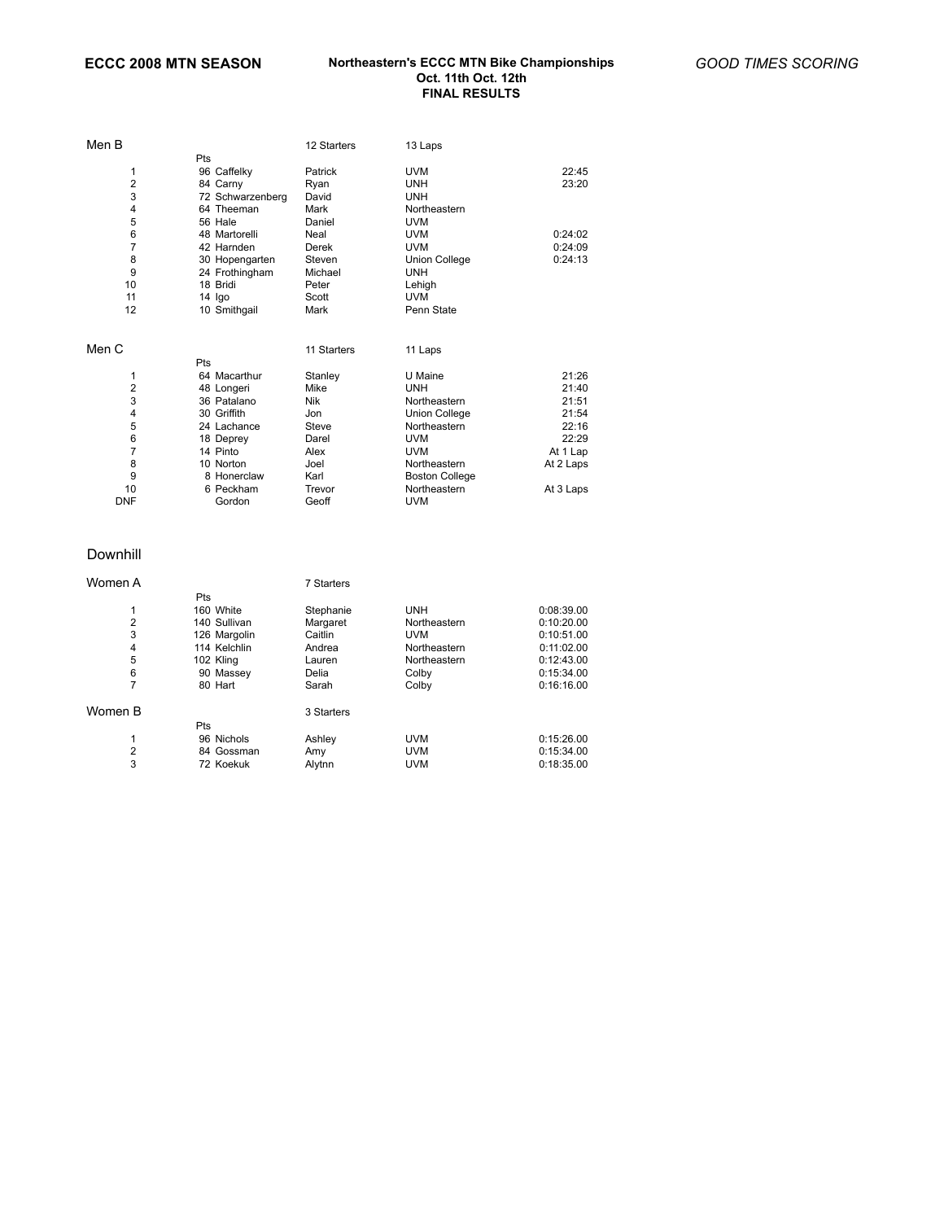| Men B      |                  | 12 Starters | 13 Laps               |           |
|------------|------------------|-------------|-----------------------|-----------|
|            | Pts              |             |                       |           |
| 1          | 96 Caffelky      | Patrick     | <b>UVM</b>            | 22:45     |
| 2          | 84 Carny         | Ryan        | <b>UNH</b>            | 23:20     |
| 3          | 72 Schwarzenberg | David       | <b>UNH</b>            |           |
| 4          | 64 Theeman       | Mark        | Northeastern          |           |
| 5          | 56 Hale          | Daniel      | <b>UVM</b>            |           |
| 6          | 48 Martorelli    | Neal        | <b>UVM</b>            | 0:24:02   |
| 7          | 42 Harnden       | Derek       | <b>UVM</b>            | 0:24:09   |
| 8          | 30 Hopengarten   | Steven      | <b>Union College</b>  | 0:24:13   |
| 9          | 24 Frothingham   | Michael     | <b>UNH</b>            |           |
| 10         | 18 Bridi         | Peter       | Lehigh                |           |
| 11         | 14 Igo           | Scott       | <b>UVM</b>            |           |
| 12         | 10 Smithgail     | Mark        | Penn State            |           |
|            |                  |             |                       |           |
| Men C      |                  | 11 Starters | 11 Laps               |           |
|            | Pts              |             |                       |           |
| 1          | 64 Macarthur     | Stanley     | U Maine               | 21:26     |
| 2          | 48 Longeri       | Mike        | <b>UNH</b>            | 21:40     |
| 3          | 36 Patalano      | Nik         | Northeastern          | 21:51     |
| 4          | 30 Griffith      | Jon         | Union College         | 21:54     |
| 5          | 24 Lachance      | Steve       | Northeastern          | 22:16     |
| 6          | 18 Deprey        | Darel       | <b>UVM</b>            | 22:29     |
| 7          | 14 Pinto         | Alex        | <b>UVM</b>            | At 1 Lap  |
| 8          | 10 Norton        | Joel        | Northeastern          | At 2 Laps |
| 9          | 8 Honerclaw      | Karl        | <b>Boston College</b> |           |
| 10         | 6 Peckham        | Trevor      | Northeastern          | At 3 Laps |
| <b>DNF</b> | Gordon           | Geoff       | <b>UVM</b>            |           |
|            |                  |             |                       |           |

### Downhill

| Women A        |              | 7 Starters |              |            |
|----------------|--------------|------------|--------------|------------|
|                | <b>Pts</b>   |            |              |            |
| 1              | 160 White    | Stephanie  | <b>UNH</b>   | 0:08:39.00 |
| $\overline{2}$ | 140 Sullivan | Margaret   | Northeastern | 0:10:20.00 |
| 3              | 126 Margolin | Caitlin    | <b>UVM</b>   | 0:10:51.00 |
| 4              | 114 Kelchlin | Andrea     | Northeastern | 0:11:02.00 |
| 5              | 102 Kling    | Lauren     | Northeastern | 0:12:43.00 |
| 6              | 90 Massey    | Delia      | Colby        | 0:15:34.00 |
| 7              | 80 Hart      | Sarah      | Colby        | 0:16:16.00 |
| Women B        |              | 3 Starters |              |            |
|                | <b>Pts</b>   |            |              |            |
| 1              | 96 Nichols   | Ashley     | <b>UVM</b>   | 0:15:26.00 |
| 2              | 84 Gossman   | Amy        | <b>UVM</b>   | 0:15:34.00 |
| 3              | 72 Koekuk    | Alytnn     | <b>UVM</b>   | 0:18:35.00 |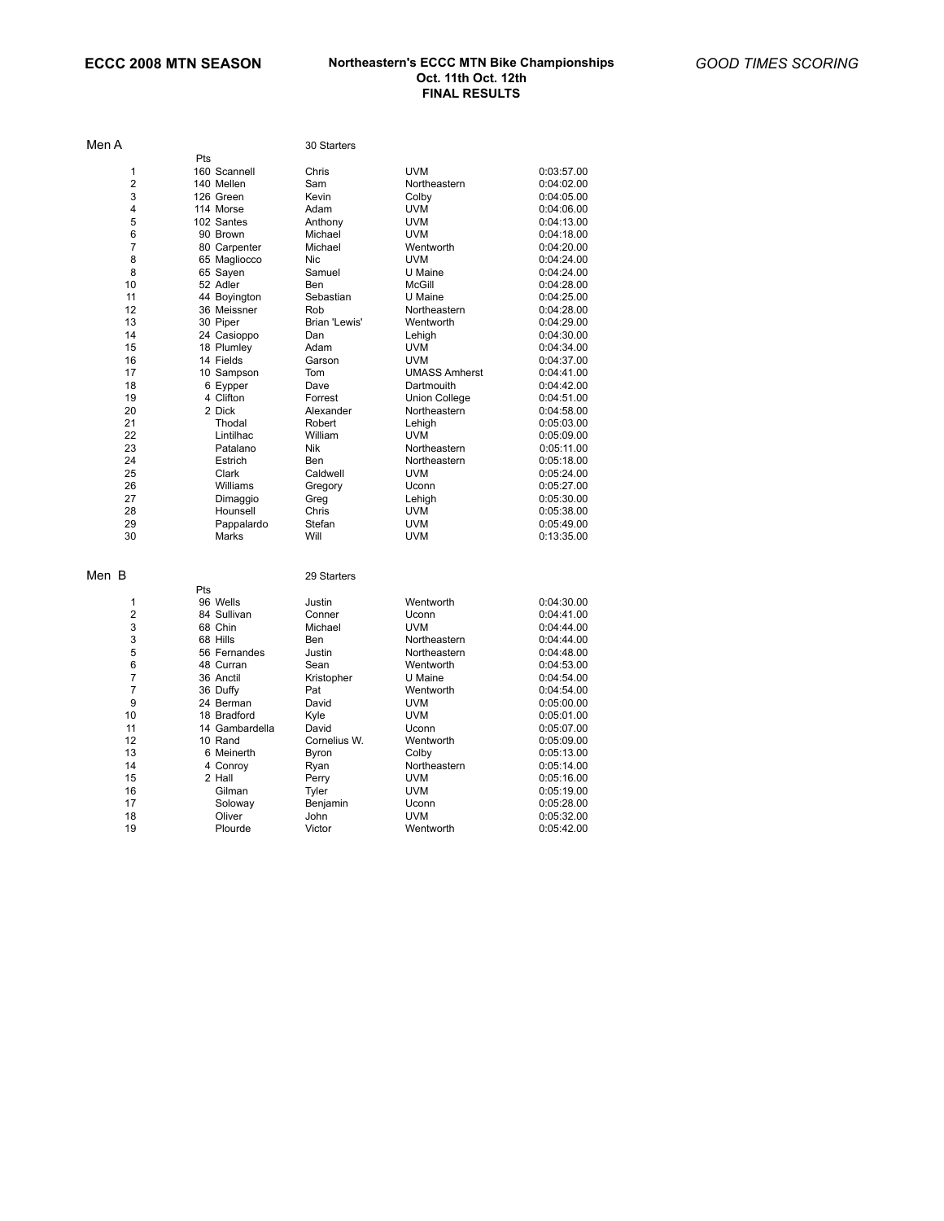| Men A          |                | 30 Starters       |                       |                          |
|----------------|----------------|-------------------|-----------------------|--------------------------|
|                | Pts            |                   |                       |                          |
| 1              | 160 Scannell   | Chris             | <b>UVM</b>            | 0:03:57.00               |
| $\overline{2}$ | 140 Mellen     | Sam               | Northeastern          | 0:04:02.00               |
| 3              | 126 Green      | Kevin             | Colby                 | 0:04:05.00               |
| 4              | 114 Morse      | Adam              | <b>UVM</b>            | 0:04:06.00               |
| 5              | 102 Santes     | Anthony           | <b>UVM</b>            | 0:04:13.00               |
| 6              | 90 Brown       | Michael           | UVM                   | 0:04:18.00               |
| $\overline{7}$ | 80 Carpenter   | Michael           | Wentworth             | 0:04:20.00               |
| 8              | 65 Magliocco   | <b>Nic</b>        | <b>UVM</b>            | 0:04:24.00               |
| 8              | 65 Sayen       | Samuel            | U Maine               | 0:04:24.00               |
| 10             | 52 Adler       | Ben               | <b>McGill</b>         | 0:04:28.00               |
| 11             | 44 Boyington   | Sebastian         | U Maine               | 0:04:25.00               |
| 12             | 36 Meissner    | Rob               | Northeastern          | 0:04:28.00               |
| 13             | 30 Piper       | Brian 'Lewis'     | Wentworth             | 0:04:29.00               |
| 14             | 24 Casioppo    | Dan               | Lehigh                | 0:04:30.00               |
| 15             | 18 Plumley     | Adam              | <b>UVM</b>            | 0:04:34.00               |
| 16             | 14 Fields      | Garson            | <b>UVM</b>            | 0:04:37.00               |
| 17             | 10 Sampson     | Tom               | <b>UMASS Amherst</b>  | 0:04:41.00               |
| 18             | 6 Eypper       | Dave              | Dartmouith            | 0:04:42.00               |
| 19             | 4 Clifton      | Forrest           | <b>Union College</b>  | 0:04:51.00               |
| 20             | 2 Dick         | Alexander         | Northeastern          | 0:04:58.00               |
| 21             | Thodal         | Robert            | Lehigh                | 0:05:03.00               |
| 22             | Lintilhac      | William           | <b>UVM</b>            | 0:05:09.00               |
| 23             | Patalano       | Nik               | Northeastern          | 0:05:11.00               |
| 24             | Estrich        | Ben               | Northeastern          | 0:05:18.00               |
| 25             | Clark          | Caldwell          | <b>UVM</b>            | 0:05:24.00               |
| 26             | Williams       | Gregory           | Uconn                 | 0:05:27.00               |
| 27             | Dimaggio       | Greg              | Lehigh                | 0:05:30.00               |
| 28             | Hounsell       | Chris             | <b>UVM</b>            | 0:05:38.00               |
| 29             | Pappalardo     | Stefan            | <b>UVM</b>            | 0:05:49.00               |
| 30             | Marks          | Will              | UVM                   | 0:13:35.00               |
| Men B          |                | 29 Starters       |                       |                          |
|                | Pts            |                   |                       |                          |
| 1              | 96 Wells       | Justin            | Wentworth             | 0:04:30.00               |
| $\overline{2}$ | 84 Sullivan    | Conner            | Uconn                 | 0:04:41.00               |
| 3              | 68 Chin        | Michael           | <b>UVM</b>            | 0:04:44.00               |
| 3              | 68 Hills       | Ben               | Northeastern          | 0:04:44.00               |
| 5              | 56 Fernandes   | Justin            | Northeastern          | 0:04:48.00               |
| 6              | 48 Curran      | Sean              | Wentworth             | 0:04:53.00               |
| 7              | 36 Anctil      | Kristopher        | U Maine               | 0:04:54.00               |
| $\overline{7}$ | 36 Duffy       | Pat               | Wentworth             | 0:04:54.00               |
| 9              | 24 Berman      | David             | <b>UVM</b>            | 0:05:00.00               |
| 10             | 18 Bradford    | Kyle              | <b>UVM</b>            | 0:05:01.00               |
| 11             | 14 Gambardella | David             | Uconn                 | 0:05:07.00               |
| 12             | 10 Rand        | Cornelius W.      | Wentworth             | 0:05:09.00               |
| 13             | 6 Meinerth     |                   |                       |                          |
| 14             | 4 Conroy       | Byron<br>Ryan     | Colby<br>Northeastern | 0:05:13.00<br>0:05:14.00 |
| 15             | 2 Hall         |                   | <b>UVM</b>            | 0:05:16.00               |
| 16             | Gilman         | Perry             | <b>UVM</b>            | 0:05:19.00               |
| 17             | Soloway        | Tyler<br>Benjamin | Uconn                 | 0:05:28.00               |
| 18             | Oliver         | John              | <b>UVM</b>            | 0:05:32.00               |
| 19             | Plourde        | Victor            | Wentworth             | 0:05:42.00               |
|                |                |                   |                       |                          |